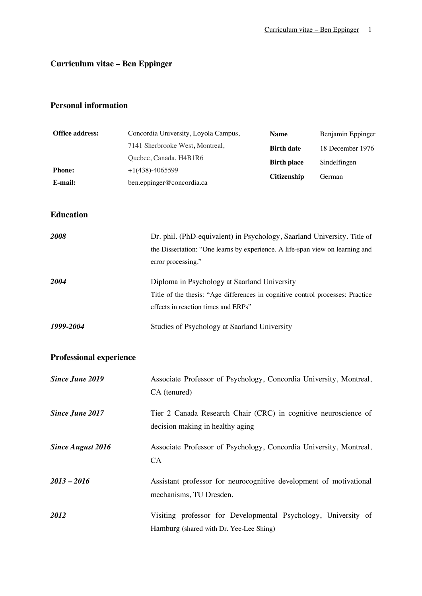# **Personal information**

| <b>Office address:</b>         | Concordia University, Loyola Campus,                           | <b>Name</b>                                                                                                                                              | Benjamin Eppinger      |  |
|--------------------------------|----------------------------------------------------------------|----------------------------------------------------------------------------------------------------------------------------------------------------------|------------------------|--|
|                                | 7141 Sherbrooke West, Montreal,                                | <b>Birth date</b>                                                                                                                                        | 18 December 1976       |  |
|                                | Quebec, Canada, H4B1R6                                         | <b>Birth place</b>                                                                                                                                       | Sindelfingen<br>German |  |
| <b>Phone:</b>                  | $+1(438)-4065599$                                              | Citizenship                                                                                                                                              |                        |  |
| E-mail:                        | ben.eppinger@concordia.ca                                      |                                                                                                                                                          |                        |  |
| <b>Education</b>               |                                                                |                                                                                                                                                          |                        |  |
| 2008                           | error processing."                                             | Dr. phil. (PhD-equivalent) in Psychology, Saarland University. Title of<br>the Dissertation: "One learns by experience. A life-span view on learning and |                        |  |
| 2004                           | effects in reaction times and ERPs"                            | Diploma in Psychology at Saarland University<br>Title of the thesis: "Age differences in cognitive control processes: Practice                           |                        |  |
| 1999-2004                      |                                                                | Studies of Psychology at Saarland University                                                                                                             |                        |  |
| <b>Professional experience</b> |                                                                |                                                                                                                                                          |                        |  |
| <b>Since June 2019</b>         | CA (tenured)                                                   | Associate Professor of Psychology, Concordia University, Montreal,                                                                                       |                        |  |
| <b>Since June 2017</b>         | decision making in healthy aging                               | Tier 2 Canada Research Chair (CRC) in cognitive neuroscience of                                                                                          |                        |  |
| <b>Since August 2016</b>       | CA                                                             | Associate Professor of Psychology, Concordia University, Montreal,                                                                                       |                        |  |
| $2013 - 2016$                  | mechanisms, TU Dresden.                                        | Assistant professor for neurocognitive development of motivational                                                                                       |                        |  |
| 2012                           | Visiting professor for Developmental Psychology, University of |                                                                                                                                                          |                        |  |

Hamburg (shared with Dr. Yee-Lee Shing)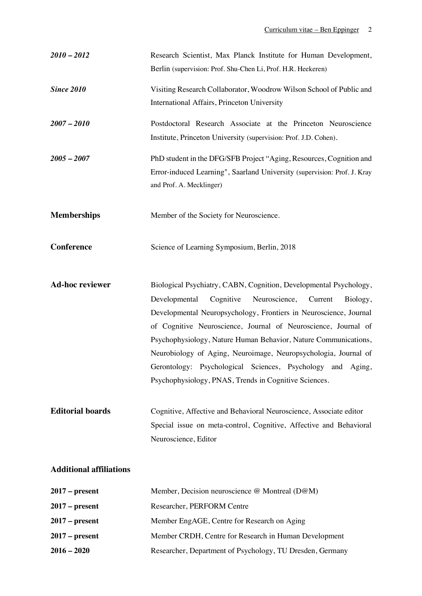| $2010 - 2012$           | Research Scientist, Max Planck Institute for Human Development,                                                               |
|-------------------------|-------------------------------------------------------------------------------------------------------------------------------|
|                         | Berlin (supervision: Prof. Shu-Chen Li, Prof. H.R. Heekeren)                                                                  |
| <b>Since 2010</b>       | Visiting Research Collaborator, Woodrow Wilson School of Public and                                                           |
|                         | International Affairs, Princeton University                                                                                   |
| $2007 - 2010$           | Postdoctoral Research Associate at the Princeton Neuroscience                                                                 |
|                         | Institute, Princeton University (supervision: Prof. J.D. Cohen).                                                              |
| $2005 - 2007$           | PhD student in the DFG/SFB Project "Aging, Resources, Cognition and                                                           |
|                         | Error-induced Learning", Saarland University (supervision: Prof. J. Kray                                                      |
|                         | and Prof. A. Mecklinger)                                                                                                      |
| <b>Memberships</b>      | Member of the Society for Neuroscience.                                                                                       |
|                         |                                                                                                                               |
| <b>Conference</b>       | Science of Learning Symposium, Berlin, 2018                                                                                   |
|                         |                                                                                                                               |
| <b>Ad-hoc reviewer</b>  | Biological Psychiatry, CABN, Cognition, Developmental Psychology,                                                             |
|                         | Cognitive<br>Neuroscience,<br>Developmental<br>Current<br>Biology,                                                            |
|                         | Developmental Neuropsychology, Frontiers in Neuroscience, Journal                                                             |
|                         | of Cognitive Neuroscience, Journal of Neuroscience, Journal of                                                                |
|                         | Psychophysiology, Nature Human Behavior, Nature Communications,                                                               |
|                         | Neurobiology of Aging, Neuroimage, Neuropsychologia, Journal of<br>Gerontology: Psychological Sciences, Psychology and Aging, |
|                         | Psychophysiology, PNAS, Trends in Cognitive Sciences.                                                                         |
|                         |                                                                                                                               |
| <b>Editorial boards</b> | Cognitive, Affective and Behavioral Neuroscience, Associate editor                                                            |
|                         | Special issue on meta-control, Cognitive, Affective and Behavioral                                                            |
|                         | Neuroscience, Editor                                                                                                          |
|                         |                                                                                                                               |

# **Additional affiliations**

| $2017$ – present | Member, Decision neuroscience @ Montreal (D@M)            |  |
|------------------|-----------------------------------------------------------|--|
| $2017$ – present | Researcher, PERFORM Centre                                |  |
| $2017$ – present | Member EngAGE, Centre for Research on Aging               |  |
| $2017$ – present | Member CRDH, Centre for Research in Human Development     |  |
| $2016 - 2020$    | Researcher, Department of Psychology, TU Dresden, Germany |  |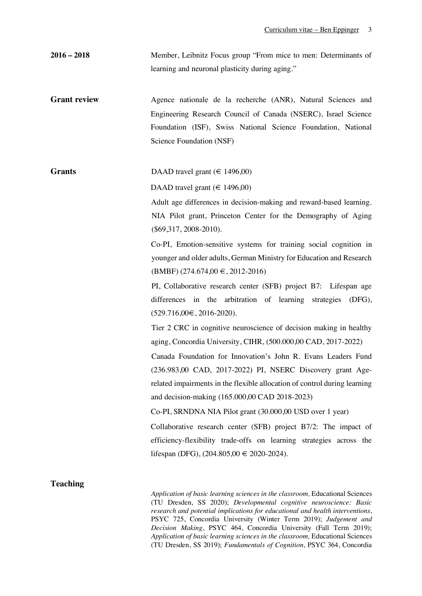| $2016 - 2018$       | Member, Leibnitz Focus group "From mice to men: Determinants of                                                                                                                                                                                                                                                                                                                                                                                                                                                                                                                                                                                             |  |
|---------------------|-------------------------------------------------------------------------------------------------------------------------------------------------------------------------------------------------------------------------------------------------------------------------------------------------------------------------------------------------------------------------------------------------------------------------------------------------------------------------------------------------------------------------------------------------------------------------------------------------------------------------------------------------------------|--|
|                     | learning and neuronal plasticity during aging."                                                                                                                                                                                                                                                                                                                                                                                                                                                                                                                                                                                                             |  |
| <b>Grant review</b> | Agence nationale de la recherche (ANR), Natural Sciences and<br>Engineering Research Council of Canada (NSERC), Israel Science<br>Foundation (ISF), Swiss National Science Foundation, National<br>Science Foundation (NSF)                                                                                                                                                                                                                                                                                                                                                                                                                                 |  |
| <b>Grants</b>       | DAAD travel grant ( $\in$ 1496,00)<br>DAAD travel grant ( $\in$ 1496,00)<br>Adult age differences in decision-making and reward-based learning.<br>NIA Pilot grant, Princeton Center for the Demography of Aging<br>$(\$69,317,2008-2010).$<br>Co-PI, Emotion-sensitive systems for training social cognition in<br>younger and older adults, German Ministry for Education and Research<br>$(BMBF)$ (274.674,00 $\in$ , 2012-2016)<br>PI, Collaborative research center (SFB) project B7: Lifespan age<br>differences in the arbitration of learning strategies<br>(DFG),<br>$(529.716,00€, 2016-2020).$                                                   |  |
|                     | Tier 2 CRC in cognitive neuroscience of decision making in healthy<br>aging, Concordia University, CIHR, (500.000,00 CAD, 2017-2022)<br>Canada Foundation for Innovation's John R. Evans Leaders Fund<br>(236.983,00 CAD, 2017-2022) PI, NSERC Discovery grant Age-<br>related impairments in the flexible allocation of control during learning<br>and decision-making (165.000,00 CAD 2018-2023)<br>Co-PI, SRNDNA NIA Pilot grant (30.000,00 USD over 1 year)<br>Collaborative research center (SFB) project B7/2: The impact of<br>efficiency-flexibility trade-offs on learning strategies across the<br>lifespan (DFG), $(204.805,00 \t∈ 2020-2024)$ . |  |
| <b>Teaching</b>     |                                                                                                                                                                                                                                                                                                                                                                                                                                                                                                                                                                                                                                                             |  |

## **Teaching**

*Application of basic learning sciences in the classroom,* Educational Sciences (TU Dresden, SS 2020); *Developmental cognitive neuroscience: Basic research and potential implications for educational and health interventions*, PSYC 725, Concordia University (Winter Term 2019); *Judgement and Decision Making*, PSYC 464, Concordia University (Fall Term 2019); *Application of basic learning sciences in the classroom,* Educational Sciences (TU Dresden, SS 2019); *Fundamentals of Cognition*, PSYC 364, Concordia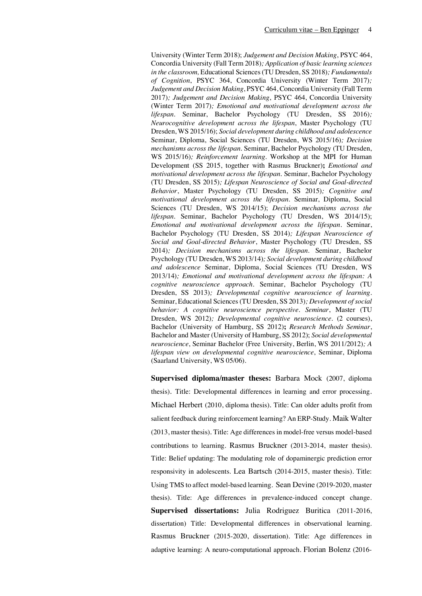University (Winter Term 2018); *Judgement and Decision Making*, PSYC 464, Concordia University (Fall Term 2018)*; Application of basic learning sciences in the classroom,* Educational Sciences (TU Dresden, SS 2018)*; Fundamentals of Cognition*, PSYC 364, Concordia University (Winter Term 2017)*; Judgement and Decision Making*, PSYC 464, Concordia University (Fall Term 2017)*; Judgement and Decision Making*, PSYC 464, Concordia University (Winter Term 2017)*; Emotional and motivational development across the lifespan.* Seminar, Bachelor Psychology (TU Dresden, SS 2016)*; Neurocognitive development across the lifespan*, Master Psychology (TU Dresden, WS 2015/16); *Social development during childhood and adolescence* Seminar, Diploma, Social Sciences (TU Dresden, WS 2015/16)*; Decision mechanisms across the lifespan.* Seminar, Bachelor Psychology (TU Dresden, WS 2015/16)*; Reinforcement learning.* Workshop at the MPI for Human Development (SS 2015, together with Rasmus Bruckner)**;** *Emotional and motivational development across the lifespan.* Seminar, Bachelor Psychology (TU Dresden, SS 2015)*; Lifespan Neuroscience of Social and Goal-directed Behavior*, Master Psychology (TU Dresden, SS 2015)*; Cognitive and motivational development across the lifespan.* Seminar, Diploma, Social Sciences (TU Dresden, WS 2014/15); *Decision mechanisms across the lifespan.* Seminar, Bachelor Psychology (TU Dresden, WS 2014/15); *Emotional and motivational development across the lifespan.* Seminar, Bachelor Psychology (TU Dresden, SS 2014)*; Lifespan Neuroscience of Social and Goal-directed Behavior*, Master Psychology (TU Dresden, SS 2014)*; Decision mechanisms across the lifespan.* Seminar, Bachelor Psychology (TU Dresden, WS 2013/14)*; Social development during childhood and adolescence* Seminar, Diploma, Social Sciences (TU Dresden, WS 2013/14)*; Emotional and motivational development across the lifespan: A cognitive neuroscience approach.* Seminar, Bachelor Psychology (TU Dresden, SS 2013)*; Developmental cognitive neuroscience of learning.* Seminar, Educational Sciences (TU Dresden, SS 2013)*; Development of social behavior: A cognitive neuroscience perspective. Seminar*, Master (TU Dresden, WS 2012)*; Developmental cognitive neuroscience.* (2 courses), Bachelor (University of Hamburg, SS 2012)**;** *Research Methods Seminar*, Bachelor and Master (University of Hamburg, SS 2012); *Social developmental neuroscience*, Seminar Bachelor (Free University, Berlin, WS 2011/2012)*; A lifespan view on developmental cognitive neuroscience*, Seminar, Diploma (Saarland University, WS 05/06).

**Supervised diploma/master theses:** Barbara Mock (2007, diploma thesis). Title: Developmental differences in learning and error processing. Michael Herbert (2010, diploma thesis). Title: Can older adults profit from salient feedback during reinforcement learning? An ERP-Study. Maik Walter (2013, master thesis). Title: Age differences in model-free versus model-based contributions to learning. Rasmus Bruckner (2013-2014, master thesis). Title: Belief updating: The modulating role of dopaminergic prediction error responsivity in adolescents. Lea Bartsch (2014-2015, master thesis). Title: Using TMS to affect model-based learning. Sean Devine (2019-2020, master thesis). Title: Age differences in prevalence-induced concept change. **Supervised dissertations:** Julia Rodriguez Buritica (2011-2016, dissertation) Title: Developmental differences in observational learning. Rasmus Bruckner (2015-2020, dissertation). Title: Age differences in adaptive learning: A neuro-computational approach. Florian Bolenz (2016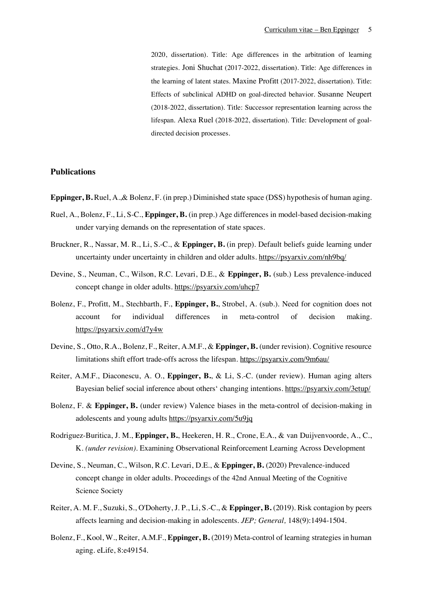2020, dissertation). Title: Age differences in the arbitration of learning strategies. Joni Shuchat (2017-2022, dissertation). Title: Age differences in the learning of latent states. Maxine Profitt (2017-2022, dissertation). Title: Effects of subclinical ADHD on goal-directed behavior. Susanne Neupert (2018-2022, dissertation). Title: Successor representation learning across the lifespan. Alexa Ruel (2018-2022, dissertation). Title: Development of goaldirected decision processes.

### **Publications**

- **Eppinger, B.** Ruel, A.,& Bolenz, F. (in prep.) Diminished state space (DSS) hypothesis of human aging.
- Ruel, A., Bolenz, F., Li, S-C., **Eppinger, B.** (in prep.) Age differences in model-based decision-making under varying demands on the representation of state spaces.
- Bruckner, R., Nassar, M. R., Li, S.-C., & **Eppinger, B.** (in prep). Default beliefs guide learning under uncertainty under uncertainty in children and older adults. https://psyarxiv.com/nh9bq/
- Devine, S., Neuman, C., Wilson, R.C. Levari, D.E., & **Eppinger, B.** (sub.) Less prevalence-induced concept change in older adults. https://psyarxiv.com/uhcp7
- Bolenz, F., Profitt, M., Stechbarth, F., **Eppinger, B.**, Strobel, A. (sub.). Need for cognition does not account for individual differences in meta-control of decision making. https://psyarxiv.com/d7y4w
- Devine, S., Otto, R.A., Bolenz, F., Reiter, A.M.F., & **Eppinger, B.** (under revision). Cognitive resource limitations shift effort trade-offs across the lifespan. https://psyarxiv.com/9m6au/
- Reiter, A.M.F., Diaconescu, A. O., **Eppinger, B.**, & Li, S.-C. (under review). Human aging alters Bayesian belief social inference about others' changing intentions. https://psyarxiv.com/3etup/
- Bolenz, F. & **Eppinger, B.** (under review) Valence biases in the meta-control of decision-making in adolescents and young adults https://psyarxiv.com/5u9jq
- Rodriguez-Buritica, J. M., **Eppinger, B.**, Heekeren, H. R., Crone, E.A., & van Duijvenvoorde, A., C., K. *(under revision)*. Examining Observational Reinforcement Learning Across Development
- Devine, S., Neuman, C., Wilson, R.C. Levari, D.E., & **Eppinger, B.** (2020) Prevalence-induced concept change in older adults. Proceedings of the 42nd Annual Meeting of the Cognitive Science Society
- Reiter, A. M. F., Suzuki, S., O'Doherty, J. P., Li, S.-C., & **Eppinger, B.** (2019). Risk contagion by peers affects learning and decision-making in adolescents. *JEP; General,* 148(9):1494-1504.
- Bolenz, F., Kool, W., Reiter, A.M.F., **Eppinger, B.** (2019) Meta-control of learning strategies in human aging. eLife, 8:e49154.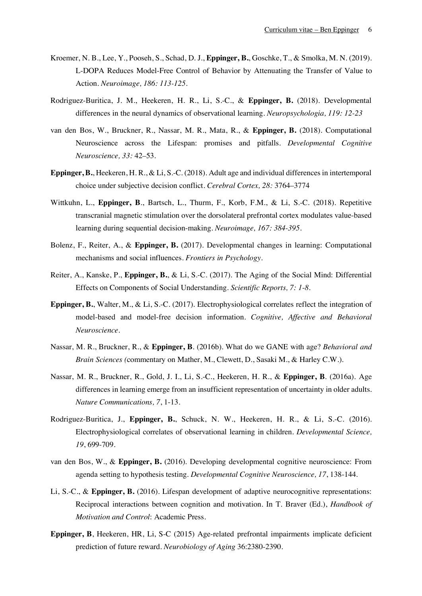- Kroemer, N. B., Lee, Y., Pooseh, S., Schad, D. J., **Eppinger, B.**, Goschke, T., & Smolka, M. N. (2019). L-DOPA Reduces Model-Free Control of Behavior by Attenuating the Transfer of Value to Action. *Neuroimage, 186: 113-125*.
- Rodriguez-Buritica, J. M., Heekeren, H. R., Li, S.-C., & **Eppinger, B.** (2018). Developmental differences in the neural dynamics of observational learning. *Neuropsychologia, 119: 12-23*
- van den Bos, W., Bruckner, R., Nassar, M. R., Mata, R., & **Eppinger, B.** (2018). Computational Neuroscience across the Lifespan: promises and pitfalls. *Developmental Cognitive Neuroscience, 33:* 42–53.
- **Eppinger, B.**, Heekeren, H. R., & Li, S.-C. (2018). Adult age and individual differences in intertemporal choice under subjective decision conflict. *Cerebral Cortex, 28:* 3764–3774
- Wittkuhn, L., **Eppinger, B**., Bartsch, L., Thurm, F., Korb, F.M., & Li, S.-C. (2018). Repetitive transcranial magnetic stimulation over the dorsolateral prefrontal cortex modulates value-based learning during sequential decision-making. *Neuroimage, 167: 384-395*.
- Bolenz, F., Reiter, A., & **Eppinger, B.** (2017). Developmental changes in learning: Computational mechanisms and social influences. *Frontiers in Psychology*.
- Reiter, A., Kanske, P., **Eppinger, B.**, & Li, S.-C. (2017). The Aging of the Social Mind: Differential Effects on Components of Social Understanding. *Scientific Reports, 7: 1-8*.
- **Eppinger, B.**, Walter, M., & Li, S.-C. (2017). Electrophysiological correlates reflect the integration of model-based and model-free decision information. *Cognitive, Affective and Behavioral Neuroscience*.
- Nassar, M. R., Bruckner, R., & **Eppinger, B**. (2016b). What do we GANE with age? *Behavioral and Brain Sciences (*commentary on Mather, M., Clewett, D., Sasaki M., & Harley C.W.).
- Nassar, M. R., Bruckner, R., Gold, J. I., Li, S.-C., Heekeren, H. R., & **Eppinger, B**. (2016a). Age differences in learning emerge from an insufficient representation of uncertainty in older adults. *Nature Communications, 7*, 1-13.
- Rodriguez-Buritica, J., **Eppinger, B.**, Schuck, N. W., Heekeren, H. R., & Li, S.-C. (2016). Electrophysiological correlates of observational learning in children. *Developmental Science, 19*, 699-709.
- van den Bos, W., & **Eppinger, B.** (2016). Developing developmental cognitive neuroscience: From agenda setting to hypothesis testing. *Developmental Cognitive Neuroscience, 17*, 138-144.
- Li, S.-C., & **Eppinger, B.** (2016). Lifespan development of adaptive neurocognitive representations: Reciprocal interactions between cognition and motivation. In T. Braver (Ed.), *Handbook of Motivation and Control*: Academic Press.
- **Eppinger, B**, Heekeren, HR, Li, S-C (2015) Age-related prefrontal impairments implicate deficient prediction of future reward. *Neurobiology of Aging* 36:2380-2390.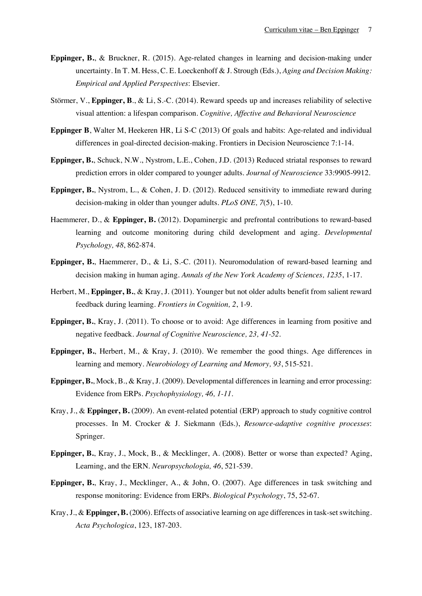- **Eppinger, B.**, & Bruckner, R. (2015). Age-related changes in learning and decision-making under uncertainty. In T. M. Hess, C. E. Loeckenhoff & J. Strough (Eds.), *Aging and Decision Making: Empirical and Applied Perspectives*: Elsevier.
- Störmer, V., **Eppinger, B**., & Li, S.-C. (2014). Reward speeds up and increases reliability of selective visual attention: a lifespan comparison. *Cognitive, Affective and Behavioral Neuroscience*
- **Eppinger B**, Walter M, Heekeren HR, Li S-C (2013) Of goals and habits: Age-related and individual differences in goal-directed decision-making. Frontiers in Decision Neuroscience 7:1-14.
- **Eppinger, B.**, Schuck, N.W., Nystrom, L.E., Cohen, J.D. (2013) Reduced striatal responses to reward prediction errors in older compared to younger adults. *Journal of Neuroscience* 33:9905-9912.
- **Eppinger, B.**, Nystrom, L., & Cohen, J. D. (2012). Reduced sensitivity to immediate reward during decision-making in older than younger adults. *PLoS ONE, 7*(5), 1-10.
- Haemmerer, D., & **Eppinger, B.** (2012). Dopaminergic and prefrontal contributions to reward-based learning and outcome monitoring during child development and aging. *Developmental Psychology, 48*, 862-874.
- **Eppinger, B.**, Haemmerer, D., & Li, S.-C. (2011). Neuromodulation of reward-based learning and decision making in human aging. *Annals of the New York Academy of Sciences, 1235*, 1-17.
- Herbert, M., **Eppinger, B.**, & Kray, J. (2011). Younger but not older adults benefit from salient reward feedback during learning. *Frontiers in Cognition, 2*, 1-9.
- **Eppinger, B.**, Kray, J. (2011). To choose or to avoid: Age differences in learning from positive and negative feedback. *Journal of Cognitive Neuroscience, 23, 41-52.*
- **Eppinger, B.**, Herbert, M., & Kray, J. (2010). We remember the good things. Age differences in learning and memory. *Neurobiology of Learning and Memory, 93*, 515-521.
- **Eppinger, B.**, Mock, B., & Kray, J. (2009). Developmental differences in learning and error processing: Evidence from ERPs. *Psychophysiology, 46, 1-11*.
- Kray, J., & **Eppinger, B.** (2009). An event-related potential (ERP) approach to study cognitive control processes. In M. Crocker & J. Siekmann (Eds.), *Resource-adaptive cognitive processes*: Springer.
- **Eppinger, B.**, Kray, J., Mock, B., & Mecklinger, A. (2008). Better or worse than expected? Aging, Learning, and the ERN. *Neuropsychologia, 46*, 521-539.
- **Eppinger, B.**, Kray, J., Mecklinger, A., & John, O. (2007). Age differences in task switching and response monitoring: Evidence from ERPs. *Biological Psychology*, 75, 52-67.
- Kray, J., & **Eppinger, B.** (2006). Effects of associative learning on age differences in task-set switching. *Acta Psychologica*, 123, 187-203.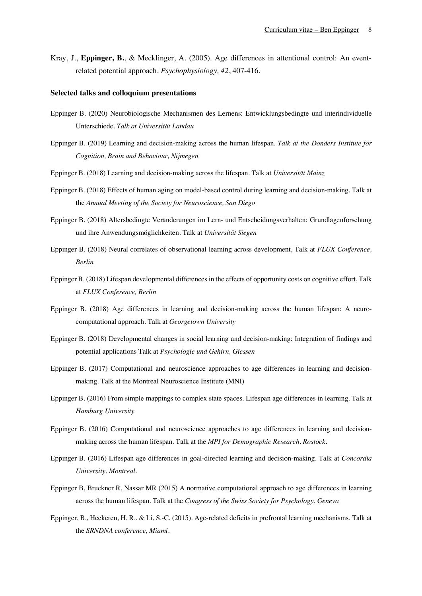Kray, J., **Eppinger, B.**, & Mecklinger, A. (2005). Age differences in attentional control: An eventrelated potential approach. *Psychophysiology, 42*, 407-416.

#### **Selected talks and colloquium presentations**

- Eppinger B. (2020) Neurobiologische Mechanismen des Lernens: Entwicklungsbedingte und interindividuelle Unterschiede. *Talk at Universität Landau*
- Eppinger B. (2019) Learning and decision-making across the human lifespan. *Talk at the Donders Institute for Cognition, Brain and Behaviour, Nijmegen*
- Eppinger B. (2018) Learning and decision-making across the lifespan. Talk at *Universität Mainz*
- Eppinger B. (2018) Effects of human aging on model-based control during learning and decision-making. Talk at the *Annual Meeting of the Society for Neuroscience, San Diego*
- Eppinger B. (2018) Altersbedingte Veränderungen im Lern- und Entscheidungsverhalten: Grundlagenforschung und ihre Anwendungsmöglichkeiten. Talk at *Universität Siegen*
- Eppinger B. (2018) Neural correlates of observational learning across development, Talk at *FLUX Conference, Berlin*
- Eppinger B. (2018) Lifespan developmental differences in the effects of opportunity costs on cognitive effort, Talk at *FLUX Conference, Berlin*
- Eppinger B. (2018) Age differences in learning and decision-making across the human lifespan: A neurocomputational approach. Talk at *Georgetown University*
- Eppinger B. (2018) Developmental changes in social learning and decision-making: Integration of findings and potential applications Talk at *Psychologie und Gehirn, Giessen*
- Eppinger B. (2017) Computational and neuroscience approaches to age differences in learning and decisionmaking. Talk at the Montreal Neuroscience Institute (MNI)
- Eppinger B. (2016) From simple mappings to complex state spaces. Lifespan age differences in learning. Talk at *Hamburg University*
- Eppinger B. (2016) Computational and neuroscience approaches to age differences in learning and decisionmaking across the human lifespan. Talk at the *MPI for Demographic Research. Rostock*.
- Eppinger B. (2016) Lifespan age differences in goal-directed learning and decision-making. Talk at *Concordia University. Montreal.*
- Eppinger B, Bruckner R, Nassar MR (2015) A normative computational approach to age differences in learning across the human lifespan. Talk at the *Congress of the Swiss Society for Psychology. Geneva*
- Eppinger, B., Heekeren, H. R., & Li, S.-C. (2015). Age-related deficits in prefrontal learning mechanisms. Talk at the *SRNDNA conference, Miami*.